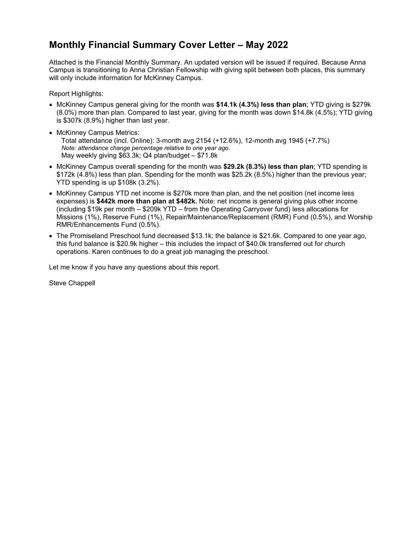### **Monthly Financial Summary Cover Letter – May 2022**

Attached is the Financial Monthly Summary. An updated version will be issued if required. Because Anna Campus is transitioning to Anna Christian Fellowship with giving split between both places, this summary will only include information for McKinney Campus.

Report Highlights:

- McKinney Campus general giving for the month was **\$14.1k (4.3%) less than plan**; YTD giving is \$279k (8.0%) more than plan. Compared to last year, giving for the month was down \$14.8k (4.5%); YTD giving is \$307k (8.9%) higher than last year.
- McKinney Campus Metrics: Total attendance (incl. Online): 3-month avg 2154 (+12.6%), 12-month avg 1945 (+7.7%) *Note: attendance change percentage relative to one year ago.* May weekly giving \$63.3k; Q4 plan/budget – \$71.8k
- McKinney Campus overall spending for the month was **\$29.2k (8.3%) less than plan**; YTD spending is \$172k (4.8%) less than plan. Spending for the month was \$25.2k (8.5%) higher than the previous year; YTD spending is up \$108k (3.2%).
- McKinney Campus YTD net income is \$270k more than plan, and the net position (net income less expenses) is **\$442k more than plan at \$482k.** Note: net income is general giving plus other income (including \$19k per month – \$209k YTD – from the Operating Carryover fund) less allocations for Missions (1%), Reserve Fund (1%), Repair/Maintenance/Replacement (RMR) Fund (0.5%), and Worship RMR/Enhancements Fund (0.5%).
- The Promiseland Preschool fund decreased \$13.1k; the balance is \$21.6k. Compared to one year ago, this fund balance is \$20.9k higher – this includes the impact of \$40.0k transferred out for church operations. Karen continues to do a great job managing the preschool.

Let me know if you have any questions about this report.

Steve Chappell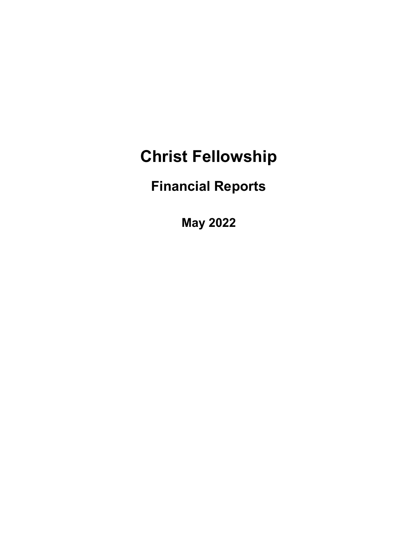# **Christ Fellowship**

**Financial Reports**

**May 2022**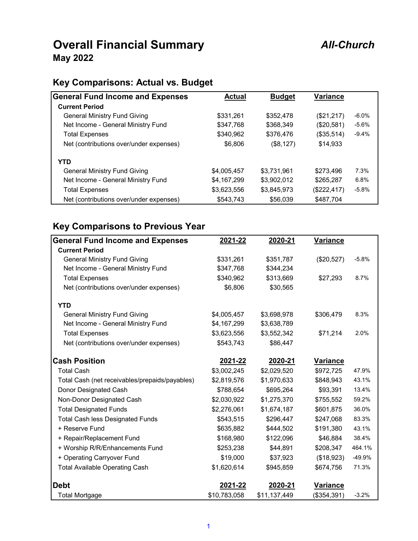### **Overall Financial Summary** *All-Church* **May 2022**

### **Key Comparisons: Actual vs. Budget**

| <b>General Fund Income and Expenses</b> | <b>Actual</b> | <b>Budget</b> | <b>Variance</b> |          |
|-----------------------------------------|---------------|---------------|-----------------|----------|
| <b>Current Period</b>                   |               |               |                 |          |
| <b>General Ministry Fund Giving</b>     | \$331.261     | \$352.478     | (\$21,217)      | $-6.0\%$ |
| Net Income - General Ministry Fund      | \$347,768     | \$368,349     | (\$20,581)      | $-5.6%$  |
| <b>Total Expenses</b>                   | \$340,962     | \$376,476     | (\$35,514)      | $-9.4%$  |
| Net (contributions over/under expenses) | \$6,806       | (\$8,127)     | \$14,933        |          |
| <b>YTD</b>                              |               |               |                 |          |
| <b>General Ministry Fund Giving</b>     | \$4,005,457   | \$3,731,961   | \$273.496       | 7.3%     |
| Net Income - General Ministry Fund      | \$4,167,299   | \$3,902,012   | \$265,287       | 6.8%     |
| <b>Total Expenses</b>                   | \$3,623,556   | \$3,845,973   | (\$222,417)     | $-5.8%$  |
| Net (contributions over/under expenses) | \$543,743     | \$56,039      | \$487,704       |          |

### **Key Comparisons to Previous Year**

| <b>General Fund Income and Expenses</b>        | 2021-22      | 2020-21      | <b>Variance</b> |          |
|------------------------------------------------|--------------|--------------|-----------------|----------|
| <b>Current Period</b>                          |              |              |                 |          |
| <b>General Ministry Fund Giving</b>            | \$331,261    | \$351,787    | (\$20,527)      | $-5.8%$  |
| Net Income - General Ministry Fund             | \$347,768    | \$344,234    |                 |          |
| <b>Total Expenses</b>                          | \$340,962    | \$313,669    | \$27,293        | 8.7%     |
| Net (contributions over/under expenses)        | \$6,806      | \$30,565     |                 |          |
| <b>YTD</b>                                     |              |              |                 |          |
| <b>General Ministry Fund Giving</b>            | \$4,005,457  | \$3,698,978  | \$306,479       | 8.3%     |
| Net Income - General Ministry Fund             | \$4,167,299  | \$3,638,789  |                 |          |
| <b>Total Expenses</b>                          | \$3,623,556  | \$3,552,342  | \$71,214        | 2.0%     |
| Net (contributions over/under expenses)        | \$543,743    | \$86,447     |                 |          |
| <b>Cash Position</b>                           | 2021-22      | 2020-21      | Variance        |          |
| <b>Total Cash</b>                              | \$3,002,245  | \$2,029,520  | \$972,725       | 47.9%    |
| Total Cash (net receivables/prepaids/payables) | \$2,819,576  | \$1,970,633  | \$848,943       | 43.1%    |
| Donor Designated Cash                          | \$788,654    | \$695,264    | \$93,391        | 13.4%    |
| Non-Donor Designated Cash                      | \$2,030,922  | \$1,275,370  | \$755,552       | 59.2%    |
| <b>Total Designated Funds</b>                  | \$2,276,061  | \$1,674,187  | \$601,875       | 36.0%    |
| <b>Total Cash less Designated Funds</b>        | \$543,515    | \$296,447    | \$247,068       | 83.3%    |
| + Reserve Fund                                 | \$635,882    | \$444,502    | \$191,380       | 43.1%    |
| + Repair/Replacement Fund                      | \$168,980    | \$122,096    | \$46,884        | 38.4%    |
| + Worship R/R/Enhancements Fund                | \$253,238    | \$44,891     | \$208,347       | 464.1%   |
| + Operating Carryover Fund                     | \$19,000     | \$37,923     | (\$18,923)      | $-49.9%$ |
| <b>Total Available Operating Cash</b>          | \$1,620,614  | \$945,859    | \$674,756       | 71.3%    |
| <b>IDebt</b>                                   | 2021-22      | 2020-21      | <b>Variance</b> |          |
| <b>Total Mortgage</b>                          | \$10,783,058 | \$11,137,449 | (\$354, 391)    | $-3.2%$  |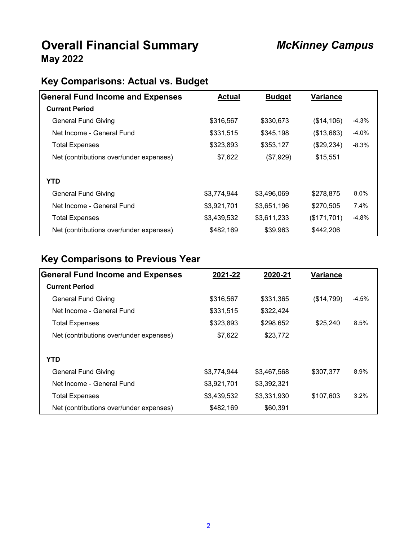## **Overall Financial Summary** *McKinney Campus* **May 2022**

### **Key Comparisons: Actual vs. Budget**

| <b>General Fund Income and Expenses</b> | <b>Actual</b> | <b>Budget</b> | <b>Variance</b> |         |
|-----------------------------------------|---------------|---------------|-----------------|---------|
| <b>Current Period</b>                   |               |               |                 |         |
| <b>General Fund Giving</b>              | \$316,567     | \$330,673     | (\$14,106)      | $-4.3%$ |
| Net Income - General Fund               | \$331,515     | \$345,198     | (\$13,683)      | $-4.0%$ |
| <b>Total Expenses</b>                   | \$323,893     | \$353,127     | (\$29,234)      | $-8.3%$ |
| Net (contributions over/under expenses) | \$7,622       | (\$7,929)     | \$15,551        |         |
|                                         |               |               |                 |         |
| <b>YTD</b>                              |               |               |                 |         |
| <b>General Fund Giving</b>              | \$3,774,944   | \$3,496,069   | \$278,875       | 8.0%    |
| Net Income - General Fund               | \$3,921,701   | \$3,651,196   | \$270,505       | 7.4%    |
| <b>Total Expenses</b>                   | \$3,439,532   | \$3,611,233   | (\$171,701)     | $-4.8%$ |
| Net (contributions over/under expenses) | \$482,169     | \$39,963      | \$442,206       |         |

### **Key Comparisons to Previous Year**

| <b>General Fund Income and Expenses</b> | 2021-22     | 2020-21     | <b>Variance</b> |         |
|-----------------------------------------|-------------|-------------|-----------------|---------|
| <b>Current Period</b>                   |             |             |                 |         |
| <b>General Fund Giving</b>              | \$316,567   | \$331,365   | (\$14,799)      | $-4.5%$ |
| Net Income - General Fund               | \$331,515   | \$322,424   |                 |         |
| <b>Total Expenses</b>                   | \$323,893   | \$298,652   | \$25,240        | 8.5%    |
| Net (contributions over/under expenses) | \$7,622     | \$23,772    |                 |         |
|                                         |             |             |                 |         |
| <b>YTD</b>                              |             |             |                 |         |
| <b>General Fund Giving</b>              | \$3,774,944 | \$3,467,568 | \$307,377       | 8.9%    |
| Net Income - General Fund               | \$3,921,701 | \$3,392,321 |                 |         |
| <b>Total Expenses</b>                   | \$3,439,532 | \$3,331,930 | \$107,603       | 3.2%    |
| Net (contributions over/under expenses) | \$482,169   | \$60,391    |                 |         |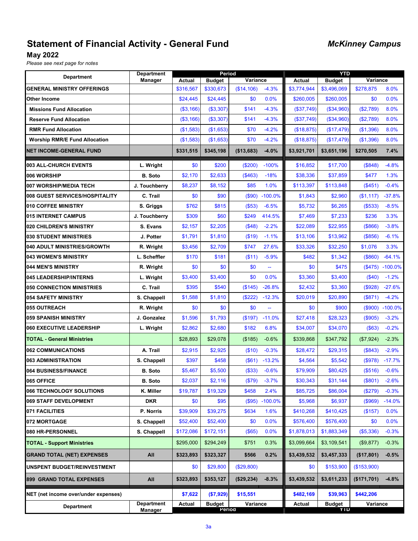### **Statement of Financial Activity - General Fund** *McKinney Campus*

**May 2022**

*Please see next page for notes*

| <b>Department</b>                    | <b>Department</b> |               | Period        |            |                          |               | <b>YTD</b>    |             |            |
|--------------------------------------|-------------------|---------------|---------------|------------|--------------------------|---------------|---------------|-------------|------------|
|                                      | Manager           | Actual        | <b>Budget</b> | Variance   |                          | Actual        | <b>Budget</b> | Variance    |            |
| <b>GENERAL MINISTRY OFFERINGS</b>    |                   | \$316,567     | \$330,673     | (\$14,106) | $-4.3%$                  | \$3,774,944   | \$3,496,069   | \$278,875   | 8.0%       |
| Other Income                         |                   | \$24,445      | \$24,445      | \$0        | 0.0%                     | \$260,005     | \$260,005     | \$0         | 0.0%       |
| <b>Missions Fund Allocation</b>      |                   | (\$3,166)     | (\$3,307)     | \$141      | $-4.3%$                  | (\$37,749)    | (\$34,960)    | (\$2,789)   | 8.0%       |
| <b>Reserve Fund Allocation</b>       |                   | ( \$3, 166)   | ( \$3,307)    | \$141      | $-4.3%$                  | (\$37,749)    | (\$34,960)    | (\$2,789)   | 8.0%       |
| <b>RMR Fund Allocation</b>           |                   | (\$1,583)     | (\$1,653)     | \$70       | $-4.2%$                  | (\$18,875)    | (\$17,479)    | (\$1,396)   | 8.0%       |
| <b>Worship RMR/E Fund Allocation</b> |                   | (\$1,583)     | (\$1,653)     | \$70       | $-4.2%$                  | (\$18,875)    | (\$17,479)    | (\$1,396)   | 8.0%       |
| <b>NET INCOME-GENERAL FUND</b>       |                   | \$331.515     | \$345,198     | (\$13,683) | $-4.0%$                  | \$3,921,701   | \$3,651,196   | \$270.505   | 7.4%       |
| 003 ALL-CHURCH EVENTS                | L. Wright         | \$0           | \$200         | (\$200)    | $-100%$                  | \$16,852      | \$17,700      | (\$848)     | $-4.8%$    |
| 006 WORSHIP                          | <b>B.</b> Soto    | \$2,170       | \$2,633       | (\$463)    | $-18%$                   | \$38,336      | \$37,859      | \$477       | 1.3%       |
| 007 WORSHIP/MEDIA TECH               | J. Touchberry     | \$8,237       | \$8,152       | \$85       | 1.0%                     | \$113,397     | \$113,848     | (\$451)     | $-0.4%$    |
| 008 GUEST SERVICES/HOSPITALITY       | C. Trail          | \$0           | \$90          | (\$90)     | $-100.0%$                | \$1,843       | \$2,960       | (\$1,117)   | $-37.8%$   |
| 010 COFFEE MINISTRY                  | S. Griggs         | \$762         | \$815         | (\$53)     | $-6.5%$                  | \$5,732       | \$6,265       | (\$533)     | $-8.5%$    |
| 015 INTERNET CAMPUS                  | J. Touchberry     | \$309         | \$60          | \$249      | 414.5%                   | \$7,469       | \$7,233       | \$236       | 3.3%       |
| 020 CHILDREN'S MINISTRY              | S. Evans          | \$2,157       | \$2,205       | (\$48)     | $-2.2%$                  | \$22,089      | \$22,955      | (\$866)     | $-3.8%$    |
| 030 STUDENT MINISTRIES               | J. Potter         | \$1,791       | \$1,810       | (\$19)     | $-1.1%$                  | \$13,106      | \$13,962      | (\$856)     | $-6.1%$    |
| 040 ADULT MINISTRIES/GROWTH          | R. Wright         | \$3,456       | \$2,709       | \$747      | 27.6%                    | \$33,326      | \$32,250      | \$1,076     | 3.3%       |
| 043 WOMEN'S MINISTRY                 | L. Scheffler      | \$170         | \$181         | $($ \$11)  | $-5.9%$                  | \$482         | \$1,342       | (\$860)     | $-64.1%$   |
| 044 MEN'S MINISTRY                   | R. Wright         | \$0           | \$0           | \$0        | $\overline{\phantom{a}}$ | \$0           | \$475         | (S475)      | $-100.0\%$ |
| 045 LEADERSHIP/INTERNS               | L. Wright         | \$3,400       | \$3,400       | \$0        | 0.0%                     | \$3,360       | \$3,400       | (\$40)      | $-1.2%$    |
| <b>050 CONNECTION MINISTRIES</b>     | C. Trail          | \$395         | \$540         | (\$145)    | $-26.8%$                 | \$2,432       | \$3,360       | (\$928)     | $-27.6%$   |
| 054 SAFETY MINISTRY                  | S. Chappell       | \$1,588       | \$1,810       | (\$222)    | $-12.3%$                 | \$20,019      | \$20,890      | (\$871)     | $-4.2%$    |
| 055 OUTREACH                         | R. Wright         | \$0           | \$0           | \$0        |                          | \$0           | \$900         | (\$900)     | $-100.0%$  |
| 059 SPANISH MINISTRY                 | J. Gonzalez       | \$1,596       | \$1,793       | (\$197)    | $-11.0%$                 | \$27,418      | \$28,323      | (\$905)     | $-3.2%$    |
| 060 EXECUTIVE LEADERSHIP             | L. Wright         | \$2,862       | \$2,680       | \$182      | 6.8%                     | \$34,007      | \$34,070      | (\$63)      | $-0.2%$    |
| <b>TOTAL - General Ministries</b>    |                   | \$28,893      | \$29,078      | (\$185)    | $-0.6%$                  | \$339,868     | \$347,792     | (\$7,924)   | $-2.3%$    |
| 062 COMMUNICATIONS                   | A. Trail          | \$2,915       | \$2,925       | (\$10)     | $-0.3%$                  | \$28,472      | \$29,315      | (\$843)     | $-2.9%$    |
| 063 ADMINISTRATION                   | S. Chappell       | \$397         | \$458         | (\$61)     | $-13.2%$                 | \$4,564       | \$5,542       | (\$978)     | $-17.7%$   |
| 064 BUSINESS/FINANCE                 | <b>B.</b> Soto    | \$5,467       | \$5,500       | (\$33)     | $-0.6%$                  | \$79,909      | \$80,425      | (\$516)     | $-0.6%$    |
| 065 OFFICE                           | <b>B.</b> Soto    | \$2,037       | \$2,116       | (\$79)     | $-3.7%$                  | \$30,343      | \$31,144      | (\$801)     | $-2.6%$    |
| 066 TECHNOLOGY SOLUTIONS             | K. Miller         | \$19,787      | \$19,329      | \$458      | 2.4%                     | \$85,725      | \$86,004      | (\$279)     | $-0.3%$    |
| 069 STAFF DEVELOPMENT                | <b>DKR</b>        | \$0           | \$95          | (\$95)     | $-100.0%$                | \$5,968       | \$6,937       | (\$969)     | $-14.0%$   |
| 071 FACILITIES                       | P. Norris         | \$39,909      | \$39,275      | \$634      | 1.6%                     | \$410,268     | \$410,425     | (\$157)     | 0.0%       |
| 072 MORTGAGE                         | S. Chappell       | \$52,400      | \$52,400      | \$0        | 0.0%                     | \$576,400     | \$576,400     | \$0         | 0.0%       |
| 080 HR-PERSONNEL                     | S. Chappell       | \$172,086     | \$172,151     | (\$65)     | 0.0%                     | \$1,878,013   | \$1,883,349   | (\$5,336)   | $-0.3%$    |
| <b>TOTAL - Support Ministries</b>    |                   | \$295,000     | \$294,249     | \$751      | 0.3%                     | \$3,099,664   | \$3,109,541   | (\$9,877)   | $-0.3%$    |
| <b>GRAND TOTAL (NET) EXPENSES</b>    | All               | \$323,893     | \$323,327     | \$566      | 0.2%                     | \$3,439,532   | \$3,457,333   | (\$17,801)  | $-0.5%$    |
| <b>UNSPENT BUDGET/REINVESTMENT</b>   |                   | \$0           | \$29,800      | (\$29,800) |                          | \$0           | \$153,900     | (\$153,900) |            |
| <b>899 GRAND TOTAL EXPENSES</b>      | All               | \$323,893     | \$353,127     | (\$29,234) | $-8.3%$                  | \$3,439,532   | \$3,611,233   | (\$171,701) | $-4.8%$    |
| NET (net income over/under expenses) |                   | \$7,622       | (\$7,929)     | \$15,551   |                          | \$482,169     | \$39,963      | \$442,206   |            |
| <b>Department</b>                    | <b>Department</b> | <b>Actual</b> | <b>Budget</b> | Variance   |                          | <b>Actual</b> | <b>Budget</b> | Variance    |            |
|                                      | Manager           |               | Period        |            |                          |               | YID           |             |            |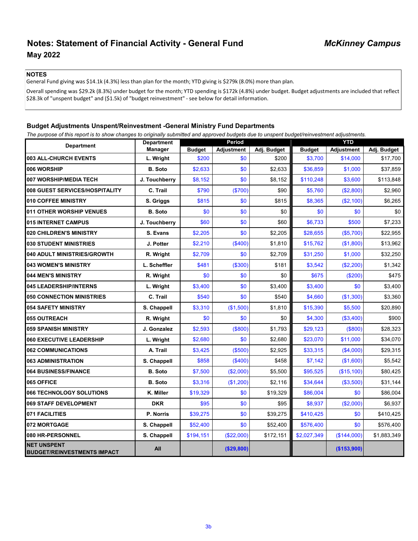### **NOTES**

General Fund giving was \$14.1k (4.3%) less than plan for the month; YTD giving is \$279k (8.0%) more than plan.

Overall spending was \$29.2k (8.3%) under budget for the month; YTD spending is \$172k (4.8%) under budget. Budget adjustments are included that reflect \$28.3k of "unspent budget" and (\$1.5k) of "budget reinvestment" - see below for detail information.

### **Budget Adjustments Unspent/Reinvestment -General Ministry Fund Departments**

*The purpose of this report is to show changes to originally submitted and approved budgets due to unspent budget/reinvestment adjustments.*

|                                                          | <b>Department</b> |               | Period     |             |               | <b>YTD</b>  |             |
|----------------------------------------------------------|-------------------|---------------|------------|-------------|---------------|-------------|-------------|
| <b>Department</b>                                        | <b>Manager</b>    | <b>Budget</b> | Adjustment | Adj. Budget | <b>Budget</b> | Adjustment  | Adj. Budget |
| 003 ALL-CHURCH EVENTS                                    | L. Wright         | \$200         | \$0        | \$200       | \$3,700       | \$14,000    | \$17,700    |
| 006 WORSHIP                                              | <b>B.</b> Soto    | \$2,633       | \$0        | \$2,633     | \$36,859      | \$1,000     | \$37,859    |
| 007 WORSHIP/MEDIA TECH                                   | J. Touchberry     | \$8,152       | \$0        | \$8,152     | \$110,248     | \$3,600     | \$113,848   |
| 008 GUEST SERVICES/HOSPITALITY                           | C. Trail          | \$790         | (\$700)    | \$90        | \$5,760       | (\$2,800)   | \$2,960     |
| 010 COFFEE MINISTRY                                      | S. Griggs         | \$815         | \$0        | \$815       | \$8,365       | (\$2,100)   | \$6,265     |
| 011 OTHER WORSHIP VENUES                                 | <b>B.</b> Soto    | \$0           | \$0        | \$0         | \$0           | \$0         | \$0         |
| 015 INTERNET CAMPUS                                      | J. Touchberry     | \$60          | \$0        | \$60        | \$6,733       | \$500       | \$7,233     |
| 020 CHILDREN'S MINISTRY                                  | S. Evans          | \$2,205       | \$0        | \$2,205     | \$28,655      | (\$5,700)   | \$22,955    |
| 030 STUDENT MINISTRIES                                   | J. Potter         | \$2,210       | (\$400)    | \$1,810     | \$15,762      | (\$1,800)   | \$13,962    |
| 040 ADULT MINISTRIES/GROWTH                              | R. Wright         | \$2,709       | \$0        | \$2,709     | \$31,250      | \$1,000     | \$32,250    |
| 043 WOMEN'S MINISTRY                                     | L. Scheffler      | \$481         | (\$300)    | \$181       | \$3,542       | (\$2,200)   | \$1,342     |
| 044 MEN'S MINISTRY                                       | R. Wright         | \$0           | \$0        | \$0         | \$675         | (\$200)     | \$475       |
| 045 LEADERSHIP/INTERNS                                   | L. Wright         | \$3,400       | \$0        | \$3,400     | \$3,400       | \$0         | \$3,400     |
| <b>050 CONNECTION MINISTRIES</b>                         | C. Trail          | \$540         | \$0        | \$540       | \$4,660       | (\$1,300)   | \$3,360     |
| 054 SAFETY MINISTRY                                      | S. Chappell       | \$3,310       | (\$1,500)  | \$1,810     | \$15,390      | \$5,500     | \$20,890    |
| 055 OUTREACH                                             | R. Wright         | \$0           | \$0        | \$0         | \$4,300       | (\$3,400)   | \$900       |
| 059 SPANISH MINISTRY                                     | J. Gonzalez       | \$2,593       | ( \$800)   | \$1,793     | \$29,123      | ( \$800)    | \$28,323    |
| 060 EXECUTIVE LEADERSHIP                                 | L. Wright         | \$2,680       | \$0        | \$2,680     | \$23,070      | \$11,000    | \$34,070    |
| 062 COMMUNICATIONS                                       | A. Trail          | \$3,425       | ( \$500)   | \$2,925     | \$33,315      | (\$4,000)   | \$29,315    |
| 063 ADMINISTRATION                                       | S. Chappell       | \$858         | (\$400)    | \$458       | \$7,142       | (\$1,600)   | \$5,542     |
| 064 BUSINESS/FINANCE                                     | <b>B.</b> Soto    | \$7,500       | (\$2,000)  | \$5,500     | \$95,525      | (\$15,100)  | \$80,425    |
| 065 OFFICE                                               | <b>B.</b> Soto    | \$3,316       | (\$1,200)  | \$2,116     | \$34,644      | (\$3,500)   | \$31,144    |
| 066 TECHNOLOGY SOLUTIONS                                 | K. Miller         | \$19,329      | \$0        | \$19,329    | \$86,004      | \$0         | \$86,004    |
| 069 STAFF DEVELOPMENT                                    | <b>DKR</b>        | \$95          | \$0        | \$95        | \$8,937       | (\$2,000)   | \$6,937     |
| 071 FACILITIES                                           | P. Norris         | \$39,275      | \$0        | \$39,275    | \$410,425     | \$0         | \$410,425   |
| 072 MORTGAGE                                             | S. Chappell       | \$52,400      | \$0        | \$52,400    | \$576,400     | \$0         | \$576,400   |
| 080 HR-PERSONNEL                                         | S. Chappell       | \$194,151     | (\$22,000) | \$172,151   | \$2,027,349   | (\$144,000) | \$1,883,349 |
| <b>NET UNSPENT</b><br><b>BUDGET/REINVESTMENTS IMPACT</b> | All               |               | (\$29,800) |             |               | (\$153,900) |             |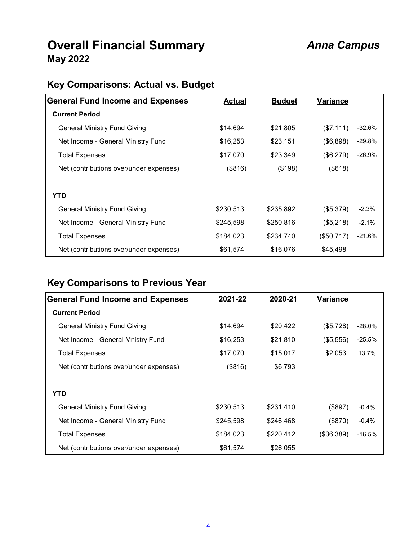### **Overall Financial Summary** *Anna Campus* **May 2022**

### **Key Comparisons: Actual vs. Budget**

| <b>General Fund Income and Expenses</b> | <b>Actual</b> | <b>Budget</b> | Variance   |          |
|-----------------------------------------|---------------|---------------|------------|----------|
| <b>Current Period</b>                   |               |               |            |          |
| <b>General Ministry Fund Giving</b>     | \$14,694      | \$21,805      | (\$7,111)  | $-32.6%$ |
| Net Income - General Ministry Fund      | \$16,253      | \$23,151      | (\$6,898)  | $-29.8%$ |
| <b>Total Expenses</b>                   | \$17,070      | \$23,349      | (\$6,279)  | $-26.9%$ |
| Net (contributions over/under expenses) | (\$816)       | (\$198)       | (\$618)    |          |
|                                         |               |               |            |          |
| YTD                                     |               |               |            |          |
| <b>General Ministry Fund Giving</b>     | \$230,513     | \$235,892     | (\$5,379)  | $-2.3%$  |
| Net Income - General Ministry Fund      | \$245,598     | \$250,816     | (\$5,218)  | $-2.1%$  |
| Total Expenses                          | \$184,023     | \$234,740     | (\$50,717) | $-21.6%$ |
| Net (contributions over/under expenses) | \$61,574      | \$16,076      | \$45,498   |          |

### **Key Comparisons to Previous Year**

| <b>General Fund Income and Expenses</b> | 2021-22   | 2020-21   | <b>Variance</b> |           |
|-----------------------------------------|-----------|-----------|-----------------|-----------|
| <b>Current Period</b>                   |           |           |                 |           |
| <b>General Ministry Fund Giving</b>     | \$14,694  | \$20,422  | (\$5,728)       | $-28.0%$  |
| Net Income - General Mnistry Fund       | \$16,253  | \$21,810  | (\$5,556)       | $-25.5\%$ |
| <b>Total Expenses</b>                   | \$17,070  | \$15,017  | \$2,053         | 13.7%     |
| Net (contributions over/under expenses) | (\$816)   | \$6,793   |                 |           |
|                                         |           |           |                 |           |
| <b>YTD</b>                              |           |           |                 |           |
| General Ministry Fund Giving            | \$230,513 | \$231,410 | (\$897)         | $-0.4%$   |
| Net Income - General Ministry Fund      | \$245,598 | \$246,468 | (\$870)         | $-0.4%$   |
| <b>Total Expenses</b>                   | \$184,023 | \$220,412 | (\$36,389)      | $-16.5%$  |
| Net (contributions over/under expenses) | \$61,574  | \$26,055  |                 |           |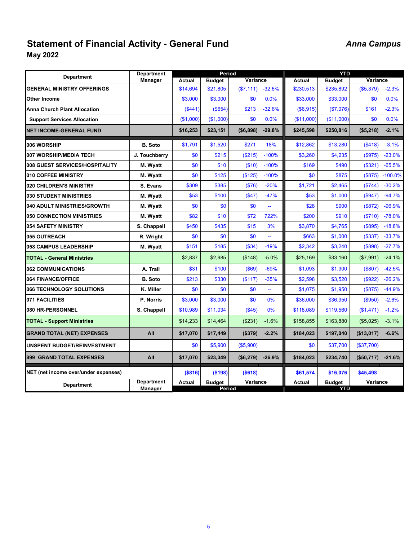### **Statement of Financial Activity - General Fund** *Anna Campus*

**May 2022**

| <b>Department</b>                    | <b>Department</b>            |               | Period                  |           |                          |               | <b>YTD</b>                  |            |           |
|--------------------------------------|------------------------------|---------------|-------------------------|-----------|--------------------------|---------------|-----------------------------|------------|-----------|
|                                      | Manager                      | Actual        | <b>Budget</b>           | Variance  |                          | <b>Actual</b> | <b>Budget</b>               | Variance   |           |
| <b>GENERAL MINISTRY OFFERINGS</b>    |                              | \$14,694      | \$21,805                | (S7, 111) | $-32.6%$                 | \$230,513     | \$235,892                   | (\$5,379)  | $-2.3%$   |
| <b>Other Income</b>                  |                              | \$3.000       | \$3.000                 | \$0       | 0.0%                     | \$33,000      | \$33,000                    | \$0        | 0.0%      |
| <b>Anna Church Plant Allocation</b>  |                              | (S441)        | (S654)                  | \$213     | $-32.6%$                 | (\$6,915)     | (\$7,076)                   | \$161      | $-2.3%$   |
| <b>Support Services Allocation</b>   |                              | (\$1,000)     | (\$1,000)               | \$0       | 0.0%                     | (\$11,000)    | (\$11,000)                  | \$0        | 0.0%      |
| <b>NET INCOME-GENERAL FUND</b>       |                              | \$16,253      | \$23,151                | (\$6,898) | $-29.8%$                 | \$245,598     | \$250,816                   | (\$5,218)  | $-2.1%$   |
| 006 WORSHIP                          | <b>B.</b> Soto               | \$1,791       | \$1,520                 | \$271     | 18%                      | \$12,862      | \$13,280                    | (\$418)    | $-3.1%$   |
| 007 WORSHIP/MEDIA TECH               | J. Touchberry                | \$0           | \$215                   | (\$215)   | $-100%$                  | \$3,260       | \$4,235                     | (\$975)    | $-23.0%$  |
| 008 GUEST SERVICES/HOSPITALITY       | M. Wyatt                     | \$0           | \$10                    | (\$10)    | $-100%$                  | \$169         | \$490                       | (\$321)    | $-65.5%$  |
| 010 COFFEE MINISTRY                  | M. Wyatt                     | \$0           | \$125                   | (\$125)   | $-100%$                  | \$0           | \$875                       | (\$875)    | $-100.0%$ |
| 020 CHILDREN'S MINISTRY              | S. Evans                     | \$309         | \$385                   | (\$76)    | $-20%$                   | \$1,721       | \$2,465                     | (\$744)    | $-30.2%$  |
| <b>030 STUDENT MINISTRIES</b>        | M. Wyatt                     | \$53          | \$100                   | (\$47)    | $-47%$                   | \$53          | \$1,000                     | (\$947)    | $-94.7%$  |
| 040 ADULT MINISTRIES/GROWTH          | M. Wyatt                     | \$0           | \$0                     | \$0       | u.                       | \$28          | \$900                       | (\$872)    | $-96.9%$  |
| <b>050 CONNECTION MINISTRIES</b>     | M. Wyatt                     | \$82          | \$10                    | \$72      | 722%                     | \$200         | \$910                       | (\$710)    | $-78.0%$  |
| 054 SAFETY MINISTRY                  | S. Chappell                  | \$450         | \$435                   | \$15      | 3%                       | \$3,870       | \$4,765                     | (\$895)    | $-18.8%$  |
| 055 OUTREACH                         | R. Wright                    | \$0           | \$0                     | \$0       | $\overline{\phantom{a}}$ | \$663         | \$1,000                     | (\$337)    | $-33.7%$  |
| 058 CAMPUS LEADERSHIP                | M. Wyatt                     | \$151         | \$185                   | (\$34)    | $-19%$                   | \$2,342       | \$3,240                     | (\$898)    | $-27.7%$  |
| <b>TOTAL - General Ministries</b>    |                              | \$2,837       | \$2,985                 | (\$148)   | $-5.0%$                  | \$25,169      | \$33,160                    | (\$7,991)  | $-24.1%$  |
| 062 COMMUNICATIONS                   | A. Trail                     | \$31          | \$100                   | $($ \$69) | $-69%$                   | \$1,093       | \$1,900                     | (\$807)    | $-42.5%$  |
| 064 FINANCE/OFFICE                   | <b>B.</b> Soto               | \$213         | \$330                   | (S117)    | $-35%$                   | \$2.598       | \$3,520                     | (\$922)    | $-26.2%$  |
| 066 TECHNOLOGY SOLUTIONS             | K. Miller                    | \$0           | \$0                     | \$0       | $\overline{\phantom{a}}$ | \$1,075       | \$1,950                     | (\$875)    | $-44.9%$  |
| 071 FACILITIES                       | P. Norris                    | \$3,000       | \$3,000                 | \$0       | 0%                       | \$36,000      | \$36,950                    | (\$950)    | $-2.6%$   |
| 080 HR-PERSONNEL                     | S. Chappell                  | \$10,989      | \$11,034                | (\$45)    | 0%                       | \$118,089     | \$119,560                   | (\$1,471)  | $-1.2%$   |
| <b>TOTAL - Support Ministries</b>    |                              | \$14,233      | \$14,464                | (\$231)   | $-1.6%$                  | \$158,855     | \$163,880                   | (\$5,025)  | $-3.1%$   |
| <b>GRAND TOTAL (NET) EXPENSES</b>    | All                          | \$17,070      | \$17,449                | (\$379)   | $-2.2%$                  | \$184,023     | \$197,040                   | (\$13,017) | $-6.6%$   |
| <b>UNSPENT BUDGET/REINVESTMENT</b>   |                              | \$0           | \$5,900                 | (\$5,900) |                          | \$0           | \$37,700                    | (\$37,700) |           |
| <b>899 GRAND TOTAL EXPENSES</b>      | All                          | \$17,070      | \$23,349                | (\$6,279) | $-26.9%$                 | \$184,023     | \$234,740                   | (\$50,717) | $-21.6%$  |
| NET (net income over/under expenses) |                              | (\$816)       | (\$198)                 | ( \$618)  |                          | \$61,574      | \$16,076                    | \$45,498   |           |
| <b>Department</b>                    | <b>Department</b><br>Manager | <b>Actual</b> | <b>Budget</b><br>Period | Variance  |                          | Actual        | <b>Budget</b><br><b>YTD</b> | Variance   |           |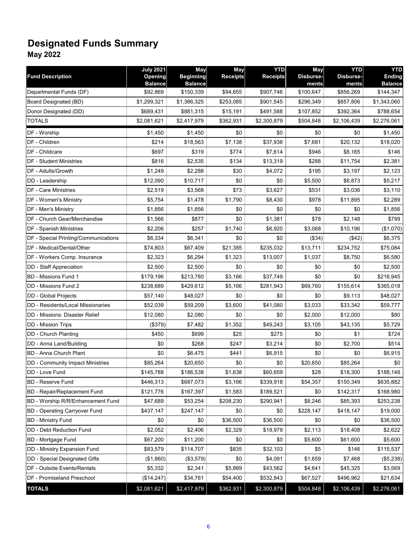## **Designated Funds Summary**

**May 2022**

| <b>Fund Description</b>                  | <b>July 2021</b><br>Opening<br><b>Balance</b> | <b>May</b><br><b>Beginning</b><br><b>Balance</b> | May<br><b>Receipts</b> | <b>YTD</b><br><b>Receipts</b> | May<br>Disburse-<br>ments | <b>YTD</b><br>Disburse-<br>ments | <b>YTD</b><br><b>Ending</b><br><b>Balance</b> |
|------------------------------------------|-----------------------------------------------|--------------------------------------------------|------------------------|-------------------------------|---------------------------|----------------------------------|-----------------------------------------------|
| Departmental Funds (DF)                  | \$92,869                                      | \$150,339                                        | \$94,655               | \$907,746                     | \$100,647                 | \$856,269                        | \$144,347                                     |
| Board Designated (BD)                    | \$1,299,321                                   | \$1,386,325                                      | \$253,085              | \$901,545                     | \$296,349                 | \$857,806                        | \$1,343,060                                   |
| Donor Designated (DD)                    | \$689,431                                     | \$881,315                                        | \$15,191               | \$491,588                     | \$107,852                 | \$392,364                        | \$788,654                                     |
| <b>TOTALS</b>                            | \$2,081,621                                   | \$2,417,979                                      | \$362,931              | \$2,300,879                   | \$504,848                 | \$2,106,439                      | \$2,276,061                                   |
| DF - Worship                             | \$1,450                                       | \$1,450                                          | \$0                    | \$0                           | \$0                       | \$0                              | \$1,450                                       |
| DF - Children                            | \$214                                         | \$18,563                                         | \$7,138                | \$37,938                      | \$7,681                   | \$20,132                         | \$18,020                                      |
| DF - Childcare                           | \$697                                         | \$319                                            | \$774                  | \$7,614                       | \$946                     | \$8,165                          | \$146                                         |
| DF - Student Ministries                  | \$816                                         | \$2,535                                          | \$134                  | \$13,319                      | \$288                     | \$11,754                         | \$2,381                                       |
| DF - Adults/Growth                       | \$1,249                                       | \$2,288                                          | \$30                   | \$4,072                       | \$195                     | \$3,197                          | \$2,123                                       |
| DD - Leadership                          | \$12,090                                      | \$10,717                                         | \$0                    | \$0                           | \$5,500                   | \$6,873                          | \$5,217                                       |
| <b>DF</b> - Care Ministries              | \$2,519                                       | \$3,568                                          | \$73                   | \$3,627                       | \$531                     | \$3,036                          | \$3,110                                       |
| <b>IDF - Women's Ministry</b>            | \$5,754                                       | \$1,478                                          | \$1,790                | \$8,430                       | \$978                     | \$11,895                         | \$2,289                                       |
| DF - Men's Ministry                      | \$1,856                                       | \$1,856                                          | \$0                    | \$0                           | \$0                       | \$0                              | \$1,856                                       |
| DF - Church Gear/Merchandise             | \$1,566                                       | \$877                                            | \$0                    | \$1,381                       | \$78                      | \$2,148                          | \$799                                         |
| <b>DF - Spanish Ministries</b>           | \$2,206                                       | \$257                                            | \$1,740                | \$6,920                       | \$3,068                   | \$10,196                         | (\$1,070)                                     |
| DF - Special Printing/Communications     | \$6,334                                       | \$6,341                                          | \$0                    | \$0                           | (\$34)                    | (\$42)                           | \$6,375                                       |
| DF - Medical/Dental/Other                | \$74,803                                      | \$67,409                                         | \$21,385               | \$235,032                     | \$13,711                  | \$234,752                        | \$75,084                                      |
| DF - Workers Comp. Insurance             | \$2,323                                       | \$6,294                                          | \$1,323                | \$13,007                      | \$1,037                   | \$8,750                          | \$6,580                                       |
| <b>DD</b> - Staff Appreciation           | \$2,500                                       | \$2,500                                          | \$0                    | \$0                           | \$0                       | \$0                              | \$2,500                                       |
| <b>BD</b> - Missions Fund 1              | \$179,196                                     | \$213,780                                        | \$3,166                | \$37,749                      | \$0                       | \$0                              | \$216,945                                     |
| DD - Missions Fund 2                     | \$238,689                                     | \$429,612                                        | \$5,166                | \$281,943                     | \$69,760                  | \$155,614                        | \$365,018                                     |
| DD - Global Projects                     | \$57,140                                      | \$48,027                                         | \$0                    | \$0                           | \$0                       | \$9,113                          | \$48,027                                      |
| DD - Residents/Local Missionaries        | \$52,039                                      | \$59,209                                         | \$3,600                | \$41,080                      | \$3,033                   | \$33,342                         | \$59,777                                      |
| DD - Missions: Disaster Relief           | \$12,080                                      | \$2,080                                          | \$0                    | \$0                           | \$2,000                   | \$12,000                         | \$80                                          |
| <b>DD - Mission Trips</b>                | (\$379)                                       | \$7,482                                          | \$1,352                | \$49,243                      | \$3,105                   | \$43,135                         | \$5,729                                       |
| DD - Church Planting                     | \$450                                         | \$699                                            | \$25                   | \$275                         | \$0                       | \$1                              | \$724                                         |
| DD - Anna Land/Building                  | \$0                                           | \$268                                            | \$247                  | \$3,214                       | \$0                       | \$2,700                          | \$514                                         |
| <b>BD</b> - Anna Church Plant            | \$0                                           | \$6,475                                          | \$441                  | \$6,915                       | \$0                       | \$0                              | \$6,915                                       |
| DD - Community Impact Ministries         | \$85,264                                      | \$20,650                                         | \$0                    | \$0                           | \$20,650                  | \$85,264                         | \$0                                           |
| DD - Love Fund                           | \$145,788                                     | \$186,538                                        | \$1,638                | \$60,659                      | \$28                      | \$18,300                         | \$188,148                                     |
| <b>BD</b> - Reserve Fund                 | \$446,313                                     | \$687,073                                        | \$3,166                | \$339,918                     | \$54,357                  | \$150,349                        | \$635,882                                     |
| <b>BD</b> - Repair/Replacement Fund      | \$121,776                                     | \$167,397                                        | \$1,583                | \$189,521                     | \$0                       | \$142,317                        | \$168,980                                     |
| <b>BD - Worship R/R/Enhancement Fund</b> | \$47,689                                      | \$53,254                                         | \$208,230              | \$290,941                     | \$8,246                   | \$85,393                         | \$253,238                                     |
| <b>BD</b> - Operating Carryover Fund     | \$437,147                                     | \$247,147                                        | \$0                    | \$0                           | \$228,147                 | \$418,147                        | \$19,000                                      |
| <b>BD - Ministry Fund</b>                | \$0                                           | \$0                                              | \$36,500               | \$36,500                      | \$0                       | \$0                              | \$36,500                                      |
| DD - Debt Reduction Fund                 | \$2,052                                       | \$2,406                                          | \$2,329                | \$18,979                      | \$2,113                   | \$18,408                         | \$2,622                                       |
| <b>BD</b> - Mortgage Fund                | \$67,200                                      | \$11,200                                         | \$0                    | \$0                           | \$5,600                   | \$61,600                         | \$5,600                                       |
| DD - Ministry Expansion Fund             | \$83,579                                      | \$114,707                                        | \$835                  | \$32,103                      | \$5                       | \$146                            | \$115,537                                     |
| DD - Special Designated Gifts            | (\$1,860)                                     | (\$3,579)                                        | \$0                    | \$4,091                       | \$1,659                   | \$7,468                          | (\$5,238)                                     |
| DF - Outside Events/Rentals              | \$5,332                                       | \$2,341                                          | \$5,869                | \$43,562                      | \$4,641                   | \$45,325                         | \$3,569                                       |
| DF - Promiseland Preschool               | (\$14,247)                                    | \$34,761                                         | \$54,400               | \$532,843                     | \$67,527                  | \$496,962                        | \$21,634                                      |
| <b>TOTALS</b>                            | \$2,081,621                                   | \$2,417,979                                      | \$362,931              | \$2,300,879                   | \$504,848                 | \$2,106,439                      | \$2,276,061                                   |